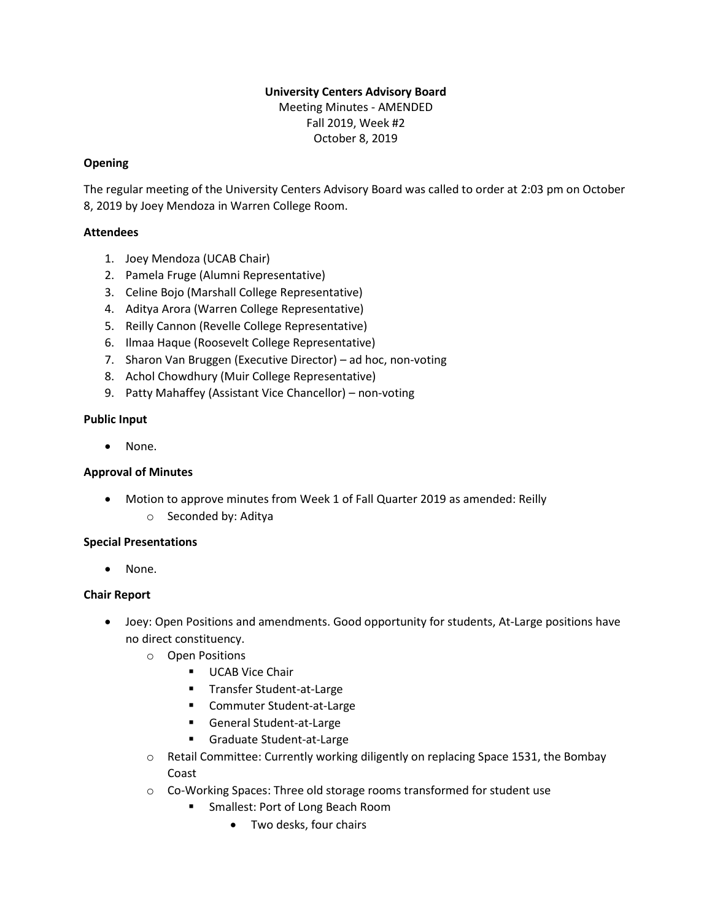# **University Centers Advisory Board** Meeting Minutes - AMENDED Fall 2019, Week #2 October 8, 2019

## **Opening**

The regular meeting of the University Centers Advisory Board was called to order at 2:03 pm on October 8, 2019 by Joey Mendoza in Warren College Room.

## **Attendees**

- 1. Joey Mendoza (UCAB Chair)
- 2. Pamela Fruge (Alumni Representative)
- 3. Celine Bojo (Marshall College Representative)
- 4. Aditya Arora (Warren College Representative)
- 5. Reilly Cannon (Revelle College Representative)
- 6. Ilmaa Haque (Roosevelt College Representative)
- 7. Sharon Van Bruggen (Executive Director) ad hoc, non-voting
- 8. Achol Chowdhury (Muir College Representative)
- 9. Patty Mahaffey (Assistant Vice Chancellor) non-voting

## **Public Input**

• None.

## **Approval of Minutes**

• Motion to approve minutes from Week 1 of Fall Quarter 2019 as amended: Reilly o Seconded by: Aditya

## **Special Presentations**

• None.

## **Chair Report**

- Joey: Open Positions and amendments. Good opportunity for students, At-Large positions have no direct constituency.
	- o Open Positions
		- **■** UCAB Vice Chair
		- Transfer Student-at-Large
		- Commuter Student-at-Large
		- General Student-at-Large
		- Graduate Student-at-Large
	- $\circ$  Retail Committee: Currently working diligently on replacing Space 1531, the Bombay Coast
	- o Co-Working Spaces: Three old storage rooms transformed for student use
		- Smallest: Port of Long Beach Room
			- Two desks, four chairs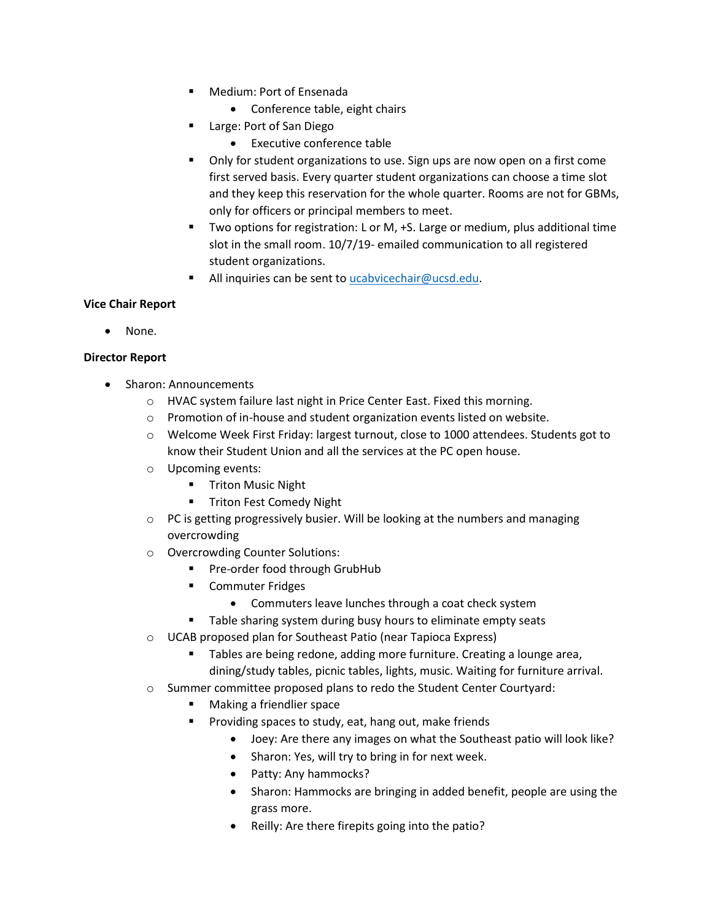- Medium: Port of Ensenada
	- Conference table, eight chairs
- Large: Port of San Diego
	- Executive conference table
- Only for student organizations to use. Sign ups are now open on a first come first served basis. Every quarter student organizations can choose a time slot and they keep this reservation for the whole quarter. Rooms are not for GBMs, only for officers or principal members to meet.
- Two options for registration: L or M, +S. Large or medium, plus additional time slot in the small room. 10/7/19- emailed communication to all registered student organizations.
- All inquiries can be sent to ucabvice chair@ucsd.edu.

## **Vice Chair Report**

• None.

## **Director Report**

- Sharon: Announcements
	- o HVAC system failure last night in Price Center East. Fixed this morning.
	- o Promotion of in-house and student organization events listed on website.
	- o Welcome Week First Friday: largest turnout, close to 1000 attendees. Students got to know their Student Union and all the services at the PC open house.
	- o Upcoming events:
		- **■** Triton Music Night
		- **■** Triton Fest Comedy Night
	- $\circ$  PC is getting progressively busier. Will be looking at the numbers and managing overcrowding
	- o Overcrowding Counter Solutions:
		- Pre-order food through GrubHub
		- Commuter Fridges
			- Commuters leave lunches through a coat check system
		- Table sharing system during busy hours to eliminate empty seats
	- o UCAB proposed plan for Southeast Patio (near Tapioca Express)
		- Tables are being redone, adding more furniture. Creating a lounge area, dining/study tables, picnic tables, lights, music. Waiting for furniture arrival.
	- o Summer committee proposed plans to redo the Student Center Courtyard:
		- Making a friendlier space
		- Providing spaces to study, eat, hang out, make friends
			- Joey: Are there any images on what the Southeast patio will look like?
			- Sharon: Yes, will try to bring in for next week.
			- Patty: Any hammocks?
			- Sharon: Hammocks are bringing in added benefit, people are using the grass more.
			- Reilly: Are there firepits going into the patio?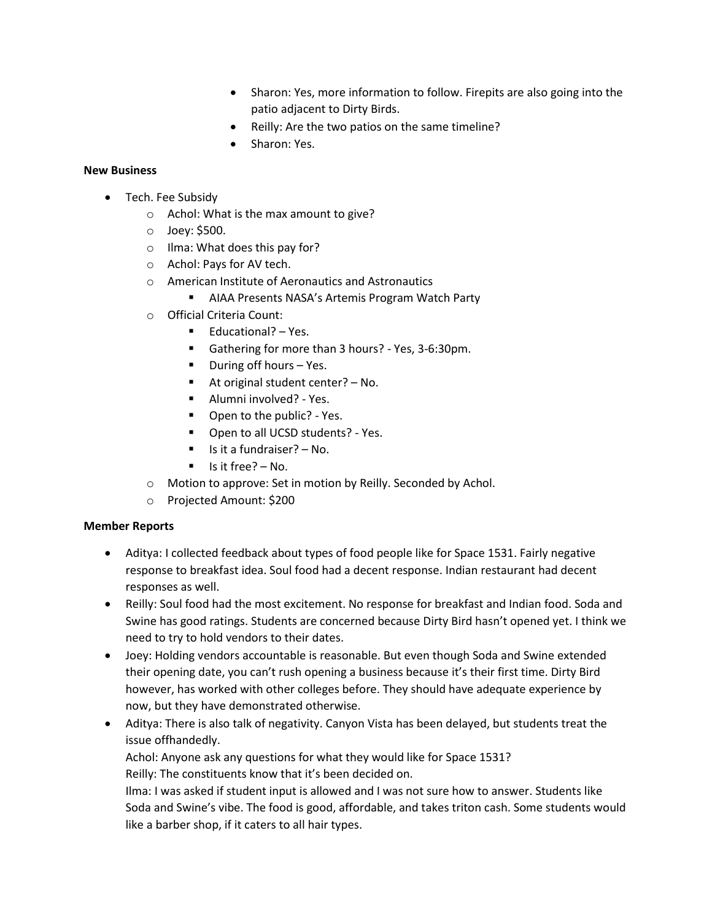- Sharon: Yes, more information to follow. Firepits are also going into the patio adjacent to Dirty Birds.
- Reilly: Are the two patios on the same timeline?
- Sharon: Yes.

# **New Business**

- Tech. Fee Subsidy
	- o Achol: What is the max amount to give?
	- o Joey: \$500.
	- o Ilma: What does this pay for?
	- o Achol: Pays for AV tech.
	- o American Institute of Aeronautics and Astronautics
		- AIAA Presents NASA's Artemis Program Watch Party
	- o Official Criteria Count:
		- Educational? Yes.
		- Gathering for more than 3 hours? Yes, 3-6:30pm.
		- During off hours Yes.
		- At original student center? No.
		- Alumni involved? Yes.
		- Open to the public? Yes.
		- Open to all UCSD students? Yes.
		- Is it a fundraiser? No.
		- Is it free? No.
	- o Motion to approve: Set in motion by Reilly. Seconded by Achol.
	- o Projected Amount: \$200

## **Member Reports**

- Aditya: I collected feedback about types of food people like for Space 1531. Fairly negative response to breakfast idea. Soul food had a decent response. Indian restaurant had decent responses as well.
- Reilly: Soul food had the most excitement. No response for breakfast and Indian food. Soda and Swine has good ratings. Students are concerned because Dirty Bird hasn't opened yet. I think we need to try to hold vendors to their dates.
- Joey: Holding vendors accountable is reasonable. But even though Soda and Swine extended their opening date, you can't rush opening a business because it's their first time. Dirty Bird however, has worked with other colleges before. They should have adequate experience by now, but they have demonstrated otherwise.
- Aditya: There is also talk of negativity. Canyon Vista has been delayed, but students treat the issue offhandedly.

Achol: Anyone ask any questions for what they would like for Space 1531? Reilly: The constituents know that it's been decided on.

Ilma: I was asked if student input is allowed and I was not sure how to answer. Students like Soda and Swine's vibe. The food is good, affordable, and takes triton cash. Some students would like a barber shop, if it caters to all hair types.